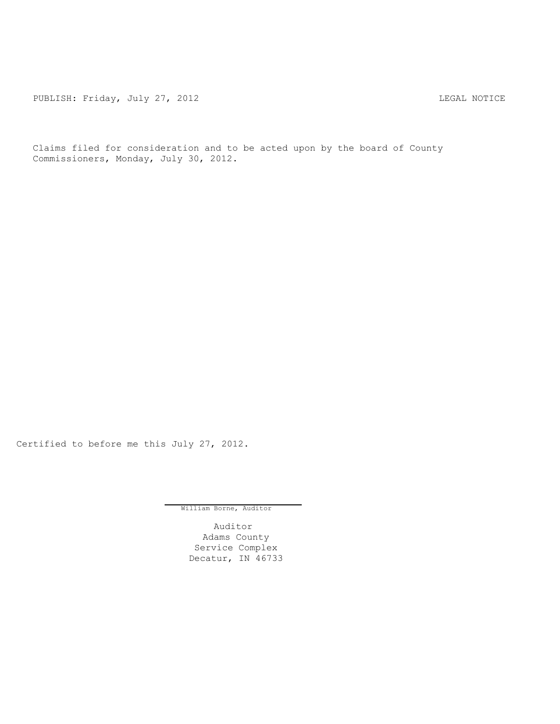PUBLISH: Friday, July 27, 2012 LEGAL NOTICE

Claims filed for consideration and to be acted upon by the board of County Commissioners, Monday, July 30, 2012.

Certified to before me this July 27, 2012.

William Borne, Auditor

Auditor Adams County Service Complex Decatur, IN 46733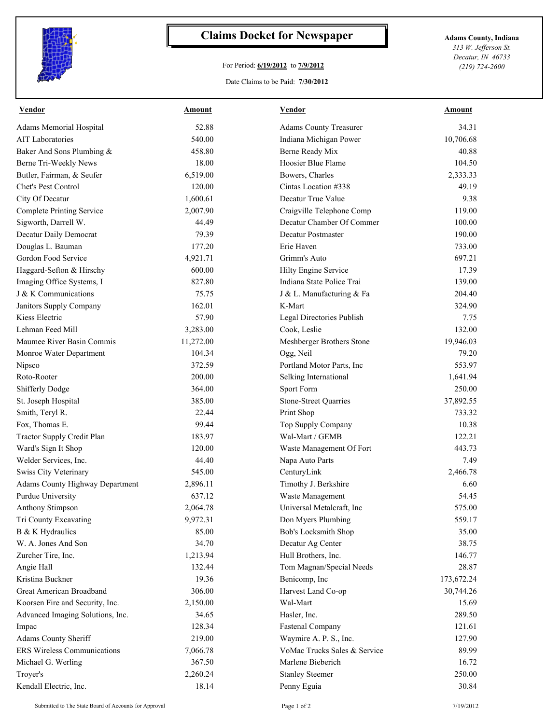

## **Claims Docket for Newspaper Adams County, Indiana**

## For Period: **6/19/2012** to **7/9/2012**

*313 W. Jefferson St. Decatur, IN 46733 (219) 724-2600*

## Date Claims to be Paid: **7/30/2012**

| <b>Vendor</b>                          | <b>Amount</b> | <b>Vendor</b>                 | <b>Amount</b> |
|----------------------------------------|---------------|-------------------------------|---------------|
| <b>Adams Memorial Hospital</b>         | 52.88         | <b>Adams County Treasurer</b> | 34.31         |
| <b>AIT Laboratories</b>                | 540.00        | Indiana Michigan Power        | 10,706.68     |
| Baker And Sons Plumbing &              | 458.80        | Berne Ready Mix               | 40.88         |
| Berne Tri-Weekly News                  | 18.00         | Hoosier Blue Flame            | 104.50        |
| Butler, Fairman, & Seufer              | 6,519.00      | Bowers, Charles               | 2,333.33      |
| <b>Chet's Pest Control</b>             | 120.00        | Cintas Location #338          | 49.19         |
| City Of Decatur                        | 1,600.61      | Decatur True Value            | 9.38          |
| <b>Complete Printing Service</b>       | 2,007.90      | Craigville Telephone Comp     | 119.00        |
| Sigworth, Darrell W.                   | 44.49         | Decatur Chamber Of Commer     | 100.00        |
| Decatur Daily Democrat                 | 79.39         | <b>Decatur Postmaster</b>     | 190.00        |
| Douglas L. Bauman                      | 177.20        | Erie Haven                    | 733.00        |
| Gordon Food Service                    | 4,921.71      | Grimm's Auto                  | 697.21        |
| Haggard-Sefton & Hirschy               | 600.00        | Hilty Engine Service          | 17.39         |
| Imaging Office Systems, I              | 827.80        | Indiana State Police Trai     | 139.00        |
| J & K Communications                   | 75.75         | J & L. Manufacturing & Fa     | 204.40        |
| Janitors Supply Company                | 162.01        | K-Mart                        | 324.90        |
| Kiess Electric                         | 57.90         | Legal Directories Publish     | 7.75          |
| Lehman Feed Mill                       | 3,283.00      | Cook, Leslie                  | 132.00        |
| Maumee River Basin Commis              | 11,272.00     | Meshberger Brothers Stone     | 19,946.03     |
| Monroe Water Department                | 104.34        | Ogg, Neil                     | 79.20         |
| Nipsco                                 | 372.59        | Portland Motor Parts, Inc     | 553.97        |
| Roto-Rooter                            | 200.00        | Selking International         | 1,641.94      |
| Shifferly Dodge                        | 364.00        | Sport Form                    | 250.00        |
| St. Joseph Hospital                    | 385.00        | Stone-Street Quarries         | 37,892.55     |
| Smith, Teryl R.                        | 22.44         | Print Shop                    | 733.32        |
| Fox, Thomas E.                         | 99.44         | Top Supply Company            | 10.38         |
| Tractor Supply Credit Plan             | 183.97        | Wal-Mart / GEMB               | 122.21        |
| Ward's Sign It Shop                    | 120.00        | Waste Management Of Fort      | 443.73        |
| Welder Services, Inc.                  | 44.40         | Napa Auto Parts               | 7.49          |
| Swiss City Veterinary                  | 545.00        | CenturyLink                   | 2,466.78      |
| <b>Adams County Highway Department</b> | 2,896.11      | Timothy J. Berkshire          | 6.60          |
| <b>Purdue University</b>               | 637.12        | Waste Management              | 54.45         |
| <b>Anthony Stimpson</b>                | 2,064.78      | Universal Metalcraft, Inc.    | 575.00        |
| Tri County Excavating                  | 9,972.31      | Don Myers Plumbing            | 559.17        |
| B & K Hydraulics                       | 85.00         | Bob's Locksmith Shop          | 35.00         |
| W. A. Jones And Son                    | 34.70         | Decatur Ag Center             | 38.75         |
| Zurcher Tire, Inc.                     | 1,213.94      | Hull Brothers, Inc.           | 146.77        |
| Angie Hall                             | 132.44        | Tom Magnan/Special Needs      | 28.87         |
| Kristina Buckner                       | 19.36         | Benicomp, Inc                 | 173,672.24    |
| Great American Broadband               | 306.00        | Harvest Land Co-op            | 30,744.26     |
| Koorsen Fire and Security, Inc.        | 2,150.00      | Wal-Mart                      | 15.69         |
| Advanced Imaging Solutions, Inc.       | 34.65         | Hasler, Inc.                  | 289.50        |
| Impac                                  | 128.34        | <b>Fastenal Company</b>       | 121.61        |
| Adams County Sheriff                   | 219.00        | Waymire A. P. S., Inc.        | 127.90        |
| ERS Wireless Communications            | 7,066.78      | VoMac Trucks Sales & Service  | 89.99         |
| Michael G. Werling                     | 367.50        | Marlene Bieberich             | 16.72         |
| Troyer's                               | 2,260.24      | <b>Stanley Steemer</b>        | 250.00        |
| Kendall Electric, Inc.                 | 18.14         | Penny Eguia                   | 30.84         |
|                                        |               |                               |               |